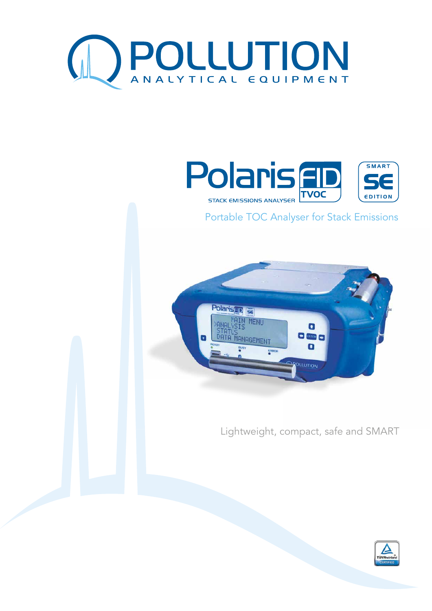



Portable TOC Analyser for Stack Emissions



Lightweight, compact, safe and SMART

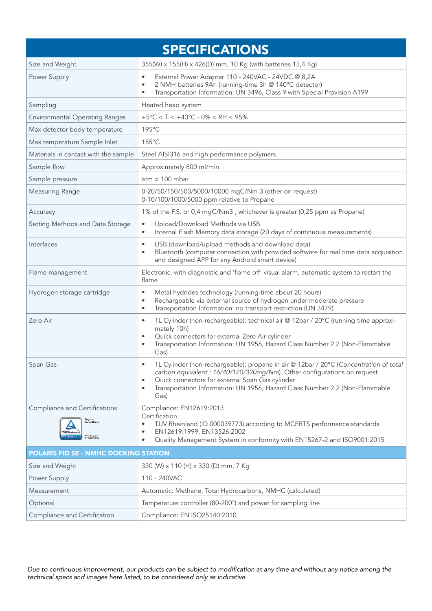| <b>SPECIFICATIONS</b>                                                                                              |                                                                                                                                                                                                                                                                                                                               |
|--------------------------------------------------------------------------------------------------------------------|-------------------------------------------------------------------------------------------------------------------------------------------------------------------------------------------------------------------------------------------------------------------------------------------------------------------------------|
| Size and Weight                                                                                                    | 355(W) x 155(H) x 426(D) mm, 10 Kg (with batteries 13,4 Kg)                                                                                                                                                                                                                                                                   |
| Power Supply                                                                                                       | External Power Adapter 110 - 240VAC - 24VDC @ 8,2A<br>$\bullet$<br>2 NMH batteries 9Ah (running-time 3h @ 140°C detector)<br>$\bullet$<br>Transportation Information: UN 3496, Class 9 with Special Provision A199<br>٠                                                                                                       |
| Sampling                                                                                                           | Heated head system                                                                                                                                                                                                                                                                                                            |
| <b>Environmental Operating Ranges</b>                                                                              | $+5^{\circ}$ C < T < $+40^{\circ}$ C - 0% < RH < 95%                                                                                                                                                                                                                                                                          |
| Max detector body temperature                                                                                      | 195°C                                                                                                                                                                                                                                                                                                                         |
| Max temperature Sample Inlet                                                                                       | 185°C                                                                                                                                                                                                                                                                                                                         |
| Materials in contact with the sample                                                                               | Steel AISI316 and high performance polymers                                                                                                                                                                                                                                                                                   |
| Sample flow                                                                                                        | Approximately 800 ml/min                                                                                                                                                                                                                                                                                                      |
| Sample pressure                                                                                                    | $atm \pm 100$ mbar                                                                                                                                                                                                                                                                                                            |
| Measuring Range                                                                                                    | 0-20/50/150/500/5000/10000 mgC/Nm 3 (other on request)<br>0-10/100/1000/5000 ppm relative to Propane                                                                                                                                                                                                                          |
| Accuracy                                                                                                           | 1% of the F.S. or 0,4 mgC/Nm3, whichever is greater (0,25 ppm as Propane)                                                                                                                                                                                                                                                     |
| Setting Methods and Data Storage                                                                                   | Upload/Download Methods via USB<br>$\bullet$<br>Internal Flash Memory data storage (20 days of continuous measurements)<br>$\bullet$                                                                                                                                                                                          |
| Interfaces                                                                                                         | USB (download/upload methods and download data)<br>$\bullet$<br>Bluetooth (computer connection with provided software for real time data acquisition<br>and designed APP for any Android smart device)                                                                                                                        |
| Flame management                                                                                                   | Electronic, with diagnostic and 'flame off' visual alarm, automatic system to restart the<br>flame                                                                                                                                                                                                                            |
| Hydrogen storage cartridge                                                                                         | Metal hydrides technology (running-time about 20 hours)<br>$\bullet$<br>Rechargeable via external source of hydrogen under moderate pressure<br>$\bullet$<br>Transportation Information: no transport restriction (UN 3479)<br>٠                                                                                              |
| Zero Air                                                                                                           | 1L Cylinder (non-rechargeable): technical air @ 12bar / 20°C (running time approxi-<br>$\bullet$<br>mately 10h)<br>Quick connectors for external Zero Air cylinder<br>٠<br>Transportation Information: UN 1956, Hazard Class Number 2.2 (Non-Flammable<br>Gas)                                                                |
| Span Gas                                                                                                           | 1L Cylinder (non-rechargeable): propane in air @ 12bar / 20°C (Concentration of total<br>carbon equivalent : 16/40/120/320mg/Nm). Other configurations on request<br>Quick connectors for external Span Gas cylinder<br>$\bullet$<br>Transportation Information: UN 1956, Hazard Class Number 2.2 (Non-Flammable<br>٠<br>Gas) |
| Compliance and Certifications<br>Regular<br>Surveillance<br>TÜVRheinle<br>CERTIFIED<br>www.tuv.com<br>D 0000039773 | Compliance: EN12619:2013<br>Certification:<br>TUV Rheinland (ID 000039773) according to MCERTS performance standards<br>$\bullet$<br>EN12619:1999, EN13526:2002<br>Quality Management System in conformity with EN15267-2 and ISO9001:2015<br>٠                                                                               |
| <b>POLARIS FID SE - NMHC DOCKING STATION</b>                                                                       |                                                                                                                                                                                                                                                                                                                               |
| Size and Weight                                                                                                    | 330 (W) x 110 (H) x 330 (D) mm, 7 Kg                                                                                                                                                                                                                                                                                          |
| Power Supply                                                                                                       | 110 - 240VAC                                                                                                                                                                                                                                                                                                                  |
| Measurement                                                                                                        | Automatic: Methane, Total Hydrocarbons, NMHC (calculated)                                                                                                                                                                                                                                                                     |
| Optional                                                                                                           | Temperature controller (80-200°) and power for sampling line                                                                                                                                                                                                                                                                  |
| Compliance and Certification                                                                                       | Compliance: EN ISO25140:2010                                                                                                                                                                                                                                                                                                  |

Due to continuous improvement, our products can be subject to modification at any time and without any notice among the technical specs and images here listed, to be considered only as indicative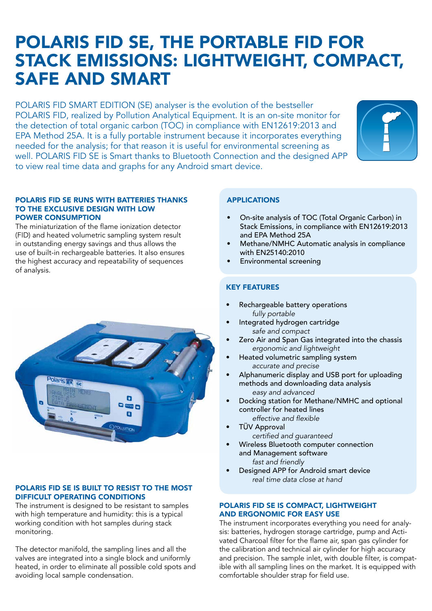# POLARIS FID SE, THE PORTABLE FID FOR STACK EMISSIONS: LIGHTWEIGHT, COMPACT, SAFE AND SMART

POLARIS FID SMART EDITION (SE) analyser is the evolution of the bestseller POLARIS FID, realized by Pollution Analytical Equipment. It is an on-site monitor for the detection of total organic carbon (TOC) in compliance with EN12619:2013 and EPA Method 25A. It is a fully portable instrument because it incorporates everything needed for the analysis; for that reason it is useful for environmental screening as well. POLARIS FID SE is Smart thanks to Bluetooth Connection and the designed APP to view real time data and graphs for any Android smart device.



#### POLARIS FID SE RUNS WITH BATTERIES THANKS TO THE EXCLUSIVE DESIGN WITH LOW POWER CONSUMPTION

The miniaturization of the flame ionization detector (FID) and heated volumetric sampling system result in outstanding energy savings and thus allows the use of built-in rechargeable batteries. It also ensures the highest accuracy and repeatability of sequences of analysis.



## POLARIS FID SE IS BUILT TO RESIST TO THE MOST DIFFICULT OPERATING CONDITIONS

The instrument is designed to be resistant to samples with high temperature and humidity: this is a typical working condition with hot samples during stack monitoring.

The detector manifold, the sampling lines and all the valves are integrated into a single block and uniformly heated, in order to eliminate all possible cold spots and avoiding local sample condensation.

# APPLICATIONS

- On-site analysis of TOC (Total Organic Carbon) in Stack Emissions, in compliance with EN12619:2013 and EPA Method 25A
- Methane/NMHC Automatic analysis in compliance with EN25140:2010
- Environmental screening

# KEY FEATURES

- Rechargeable battery operations  *fully portable*
- Integrated hydrogen cartridge *safe and compact*
- Zero Air and Span Gas integrated into the chassis  *ergonomic and lightweight*
- Heated volumetric sampling system  *accurate and precise*
- Alphanumeric display and USB port for uploading methods and downloading data analysis  *easy and advanced*
- Docking station for Methane/NMHC and optional controller for heated lines effective and flexible
- TÜV Approval certified and quaranteed
- Wireless Bluetooth computer connection and Management software  *fast and friendly*
- Designed APP for Android smart device  *real time data close at hand*

### POLARIS FID SE IS COMPACT, LIGHTWEIGHT AND ERGONOMIC FOR EASY USE

The instrument incorporates everything you need for analysis: batteries, hydrogen storage cartridge, pump and Activated Charcoal filter for the flame air, span gas cylinder for the calibration and technical air cylinder for high accuracy and precision. The sample inlet, with double filter, is compatible with all sampling lines on the market. It is equipped with comfortable shoulder strap for field use.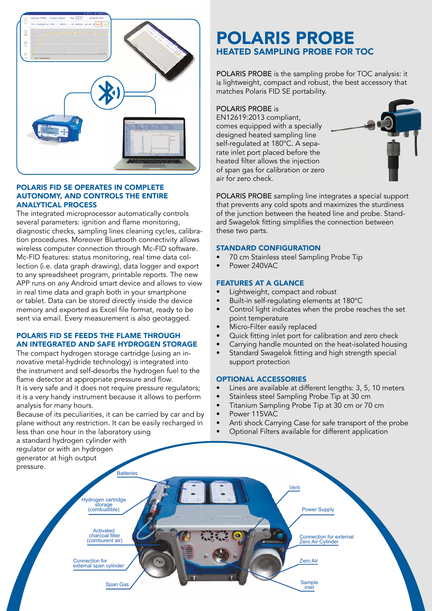

### POLARIS FID SE OPERATES IN COMPLETE AUTONOMY, AND CONTROLS THE ENTIRE ANALYTICAL PROCESS

The integrated microprocessor automatically controls several parameters: ignition and flame monitoring, diagnostic checks, sampling lines cleaning cycles, calibration procedures. Moreover Bluetooth connectivity allows wireless computer connection through Mc-FID software. Mc-FID features: status monitoring, real time data collection (i.e. data graph drawing), data logger and export to any spreadsheet program, printable reports. The new APP runs on any Android smart device and allows to view in real time data and graph both in your smartphone or tablet. Data can be stored directly inside the device memory and exported as Excel file format, ready to be sent via email. Every measurement is also geotagged.

## POLARIS FID SE FEEDS THE FLAME THROUGH AN INTEGRATED AND SAFE HYDROGEN STORAGE

The compact hydrogen storage cartridge (using an innovative metal-hydride technology) is integrated into the instrument and self-desorbs the hydrogen fuel to the flame detector at appropriate pressure and flow. It is very safe and it does not require pressure regulators;

it is a very handy instrument because it allows to perform analysis for many hours.

Because of its peculiarities, it can be carried by car and by plane without any restriction. It can be easily recharged in less than one hour in the laboratory using

a standard hydrogen cylinder with

# POLARIS PROBE HEATED SAMPLING PROBE FOR TOC

POLARIS PROBE is the sampling probe for TOC analysis: it is lightweight, compact and robust, the best accessory that matches Polaris FID SE portability.

POLARIS PROBE is

EN12619:2013 compliant, comes equipped with a specially designed heated sampling line self-regulated at 180°C. A separate inlet port placed before the heated filter allows the injection of span gas for calibration or zero air for zero check.



POLARIS PROBE sampling line integrates a special support that prevents any cold spots and maximizes the sturdiness of the junction between the heated line and probe. Standard Swagelok fitting simplifies the connection between these two parts.

### STANDARD CONFIGURATION

- 70 cm Stainless steel Sampling Probe Tip
- Power 240VAC

# FEATURES AT A GLANCE

- Lightweight, compact and robust
- Built-in self-regulating elements at 180°C
- Control light indicates when the probe reaches the set point temperature
- Micro-Filter easily replaced
- Quick fitting inlet port for calibration and zero check
- Carrying handle mounted on the heat-isolated housing
- Standard Swagelok fitting and high strength special support protection

# OPTIONAL ACCESSORIES

- Lines are available at different lengths: 3, 5, 10 meters
- Stainless steel Sampling Probe Tip at 30 cm
- Titanium Sampling Probe Tip at 30 cm or 70 cm
- Power 115VAC
- Anti shock Carrying Case for safe transport of the probe
- Optional Filters available for different application

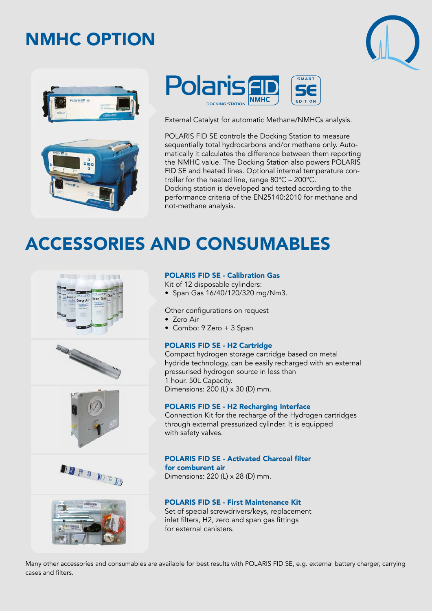# NMHC OPTION







External Catalyst for automatic Methane/NMHCs analysis.

POLARIS FID SE controls the Docking Station to measure sequentially total hydrocarbons and/or methane only. Automatically it calculates the difference between them reporting the NMHC value. The Docking Station also powers POLARIS FID SE and heated lines. Optional internal temperature controller for the heated line, range 80°C – 200°C. Docking station is developed and tested according to the performance criteria of the EN25140:2010 for methane and not-methane analysis.

# ACCESSORIES AND CONSUMABLES











#### POLARIS FID SE - Calibration Gas

Kit of 12 disposable cylinders: • Span Gas 16/40/120/320 mg/Nm3.

Other configurations on request

- Zero Air
- Combo: 9 Zero + 3 Span

### POLARIS FID SE - H2 Cartridge

Compact hydrogen storage cartridge based on metal hydride technology, can be easily recharged with an external pressurised hydrogen source in less than 1 hour. 50L Capacity. Dimensions: 200 (L) x 30 (D) mm.

### POLARIS FID SE - H2 Recharging Interface

Connection Kit for the recharge of the Hydrogen cartridges through external pressurized cylinder. It is equipped with safety valves.

### **POLARIS FID SE - Activated Charcoal filter**

for comburent air Dimensions: 220 (L) x 28 (D) mm.

#### POLARIS FID SE - First Maintenance Kit

Set of special screwdrivers/keys, replacement inlet filters, H2, zero and span gas fittings for external canisters.

Many other accessories and consumables are available for best results with POLARIS FID SE, e.g. external battery charger, carrying cases and filters.